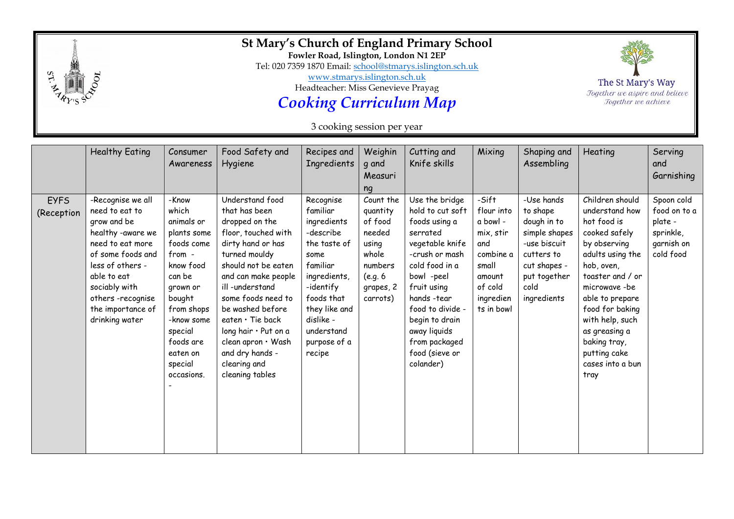

## **St Mary's Church of England Primary School**

**Fowler Road, Islington, London N1 2EP**

Tel: 020 7359 1870 Email: [school@stmarys.islington.sch.uk](mailto:school@stmarys.islington.sch.uk)

[www.stmarys.islington.sch.uk](http://www.stmarys.islington.sch.uk/)

Headteacher: Miss Genevieve Prayag

*Cooking Curriculum Map*

3 cooking session per year

|                           | <b>Healthy Eating</b>                                                                                                                                                                                                           | Consumer<br>Awareness                                                                                                                                                                                     | Food Safety and<br>Hygiene                                                                                                                                                                                                                                                                                                                              | Recipes and<br>Ingredients                                                                                                                                                                             | Weighin<br>q and<br>Measuri<br>ng                                                                           | Cutting and<br>Knife skills                                                                                                                                                                                                                                              | Mixing                                                                                                                    | Shaping and<br>Assembling                                                                                                                   | Heating                                                                                                                                                                                                                                                                                       | Serving<br>and<br>Garnishing                                                  |
|---------------------------|---------------------------------------------------------------------------------------------------------------------------------------------------------------------------------------------------------------------------------|-----------------------------------------------------------------------------------------------------------------------------------------------------------------------------------------------------------|---------------------------------------------------------------------------------------------------------------------------------------------------------------------------------------------------------------------------------------------------------------------------------------------------------------------------------------------------------|--------------------------------------------------------------------------------------------------------------------------------------------------------------------------------------------------------|-------------------------------------------------------------------------------------------------------------|--------------------------------------------------------------------------------------------------------------------------------------------------------------------------------------------------------------------------------------------------------------------------|---------------------------------------------------------------------------------------------------------------------------|---------------------------------------------------------------------------------------------------------------------------------------------|-----------------------------------------------------------------------------------------------------------------------------------------------------------------------------------------------------------------------------------------------------------------------------------------------|-------------------------------------------------------------------------------|
| <b>EYFS</b><br>(Reception | -Recognise we all<br>need to eat to<br>grow and be<br>healthy -aware we<br>need to eat more<br>of some foods and<br>less of others -<br>able to eat<br>sociably with<br>others-recognise<br>the importance of<br>drinking water | -Know<br>which<br>animals or<br>plants some<br>foods come<br>from -<br>know food<br>can be<br>grown or<br>bought<br>from shops<br>-know some<br>special<br>foods are<br>eaten on<br>special<br>occasions. | Understand food<br>that has been<br>dropped on the<br>floor, touched with<br>dirty hand or has<br>turned mouldy<br>should not be eaten<br>and can make people<br>ill-understand<br>some foods need to<br>be washed before<br>eaten $\cdot$ Tie back<br>long hair . Put on a<br>clean apron · Wash<br>and dry hands -<br>clearing and<br>cleaning tables | Recognise<br>familiar<br>ingredients<br>-describe<br>the taste of<br>some<br>familiar<br>ingredients,<br>-identify<br>foods that<br>they like and<br>dislike -<br>understand<br>purpose of a<br>recipe | Count the<br>quantity<br>of food<br>needed<br>using<br>whole<br>numbers<br>(e.g. 6<br>grapes, 2<br>carrots) | Use the bridge<br>hold to cut soft<br>foods using a<br>serrated<br>vegetable knife<br>-crush or mash<br>cold food in a<br>bowl -peel<br>fruit using<br>hands -tear<br>food to divide -<br>begin to drain<br>away liquids<br>from packaged<br>food (sieve or<br>colander) | -Sift<br>flour into<br>a bowl -<br>mix, stir<br>and<br>combine a<br>small<br>amount<br>of cold<br>ingredien<br>ts in bowl | -Use hands<br>to shape<br>dough in to<br>simple shapes<br>-use biscuit<br>cutters to<br>cut shapes -<br>put together<br>cold<br>ingredients | Children should<br>understand how<br>hot food is<br>cooked safely<br>by observing<br>adults using the<br>hob, oven,<br>toaster and / or<br>microwave-be<br>able to prepare<br>food for baking<br>with help, such<br>as greasing a<br>baking tray,<br>putting cake<br>cases into a bun<br>tray | Spoon cold<br>food on to a<br>plate -<br>sprinkle,<br>garnish on<br>cold food |

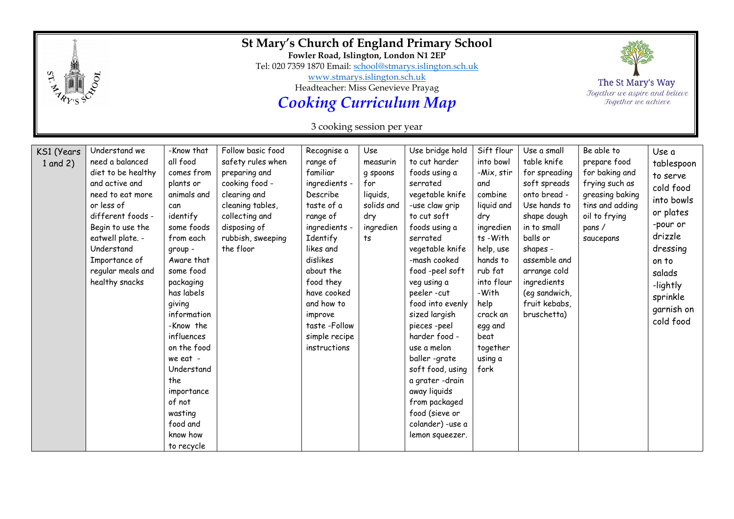|                            |                                                                                                                                                                                                                                               | St Mary's Church of England Primary School<br>Fowler Road, Islington, London N1 2EP<br>Tel: 020 7359 1870 Email: school@stmarys.islington.sch.uk<br>www.stmarys.islington.sch.uk<br>Headteacher: Miss Genevieve Prayag<br><b>Cooking Curriculum Map</b><br>3 cooking session per year                                                                        |                                                                                                                                                                                   |                                                                                                                                                                                                                                                                     |                                                                                        |                                                                                                                                                                                                                                                                                                                                                                                                                                                                       |                                                                                                                                                                                                                                       |                                                                                                                                                                                                                                                   | The St Mary's Way<br>Together we aspire and believe<br>Together we achieve                                                                   |                                                                                                                                                                                  |
|----------------------------|-----------------------------------------------------------------------------------------------------------------------------------------------------------------------------------------------------------------------------------------------|--------------------------------------------------------------------------------------------------------------------------------------------------------------------------------------------------------------------------------------------------------------------------------------------------------------------------------------------------------------|-----------------------------------------------------------------------------------------------------------------------------------------------------------------------------------|---------------------------------------------------------------------------------------------------------------------------------------------------------------------------------------------------------------------------------------------------------------------|----------------------------------------------------------------------------------------|-----------------------------------------------------------------------------------------------------------------------------------------------------------------------------------------------------------------------------------------------------------------------------------------------------------------------------------------------------------------------------------------------------------------------------------------------------------------------|---------------------------------------------------------------------------------------------------------------------------------------------------------------------------------------------------------------------------------------|---------------------------------------------------------------------------------------------------------------------------------------------------------------------------------------------------------------------------------------------------|----------------------------------------------------------------------------------------------------------------------------------------------|----------------------------------------------------------------------------------------------------------------------------------------------------------------------------------|
| KS1 (Years<br>$1$ and $2)$ | Understand we<br>need a balanced<br>diet to be healthy<br>and active and<br>need to eat more<br>or less of<br>different foods -<br>Begin to use the<br>eatwell plate. -<br>Understand<br>Importance of<br>regular meals and<br>healthy snacks | -Know that<br>all food<br>comes from<br>plants or<br>animals and<br>can<br>identify<br>some foods<br>from each<br>group -<br>Aware that<br>some food<br>packaging<br>has labels<br>giving<br>information<br>-Know the<br>influences<br>on the food<br>we eat -<br>Understand<br>the<br>importance<br>of not<br>wasting<br>food and<br>know how<br>to recycle | Follow basic food<br>safety rules when<br>preparing and<br>cooking food -<br>clearing and<br>cleaning tables,<br>collecting and<br>disposing of<br>rubbish, sweeping<br>the floor | Recognise a<br>range of<br>familiar<br>ingredients -<br>Describe<br>taste of a<br>range of<br>ingredients -<br>Identify<br>likes and<br>dislikes<br>about the<br>food they<br>have cooked<br>and how to<br>improve<br>taste-Follow<br>simple recipe<br>instructions | Use<br>measurin<br>q spoons<br>for<br>liquids,<br>solids and<br>dry<br>ingredien<br>ts | Use bridge hold<br>to cut harder<br>foods using a<br>serrated<br>vegetable knife<br>-use claw grip<br>to cut soft<br>foods using a<br>serrated<br>vegetable knife<br>-mash cooked<br>food-peel soft<br>veg using a<br>peeler-cut<br>food into evenly<br>sized largish<br>pieces-peel<br>harder food -<br>use a melon<br>baller-grate<br>soft food, using<br>a grater -drain<br>away liquids<br>from packaged<br>food (sieve or<br>colander) -use a<br>lemon squeezer. | Sift flour<br>into bowl<br>-Mix, stir<br>and<br>combine<br>liquid and<br>dry<br>ingredien<br>ts-With<br>help, use<br>hands to<br>rub fat<br>into flour<br>-With<br>help<br>crack an<br>egg and<br>beat<br>together<br>using a<br>fork | Use a small<br>table knife<br>for spreading<br>soft spreads<br>onto bread -<br>Use hands to<br>shape dough<br>in to small<br>balls or<br>shapes -<br>assemble and<br>arrange cold<br>ingredients<br>(eq sandwich,<br>fruit kebabs,<br>bruschetta) | Be able to<br>prepare food<br>for baking and<br>frying such as<br>greasing baking<br>tins and adding<br>oil to frying<br>pans /<br>saucepans | Use a<br>tablespoon<br>to serve<br>cold food<br>into bowls<br>or plates<br>-pour or<br>drizzle<br>dressing<br>on to<br>salads<br>-lightly<br>sprinkle<br>garnish on<br>cold food |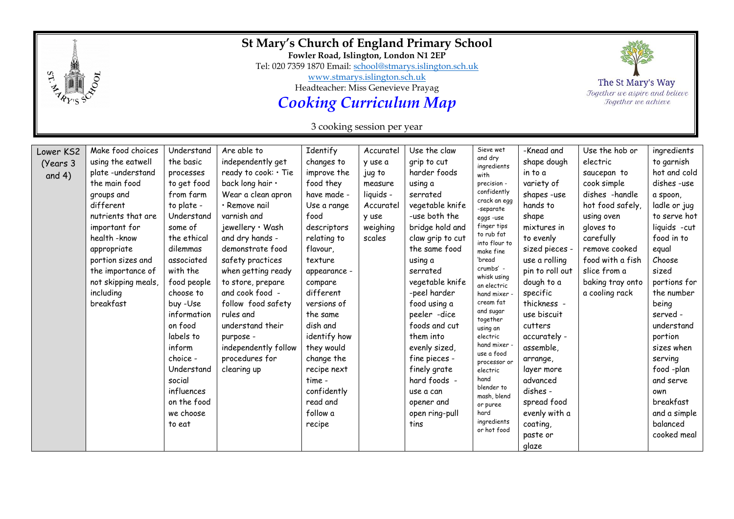|                                   |                                                                                                                                                                                                                                                                          | St Mary's Church of England Primary School<br>Fowler Road, Islington, London N1 2EP<br>Tel: 020 7359 1870 Email: school@stmarys.islington.sch.uk<br>www.stmarys.islington.sch.uk<br>Headteacher: Miss Genevieve Prayag<br><b>Cooking Curriculum Map</b><br>3 cooking session per year                                                         |                                                                                                                                                                                                                                                                                                                                                                                                              |                                                                                                                                                                                                                                                                                                                                                    |                                                                                                    |                                                                                                                                                                                                                                                                                                                                                                                                               |                                                                                                                                                                                                                                                                                                                                                                                                                                                                 |                                                                                                                                                                                                                                                                                                                                                                                             | The St Mary's Way<br>Together we aspire and believe<br>Together we achieve                                                                                                                                                        |                                                                                                                                                                                                                                                                                                                                                               |
|-----------------------------------|--------------------------------------------------------------------------------------------------------------------------------------------------------------------------------------------------------------------------------------------------------------------------|-----------------------------------------------------------------------------------------------------------------------------------------------------------------------------------------------------------------------------------------------------------------------------------------------------------------------------------------------|--------------------------------------------------------------------------------------------------------------------------------------------------------------------------------------------------------------------------------------------------------------------------------------------------------------------------------------------------------------------------------------------------------------|----------------------------------------------------------------------------------------------------------------------------------------------------------------------------------------------------------------------------------------------------------------------------------------------------------------------------------------------------|----------------------------------------------------------------------------------------------------|---------------------------------------------------------------------------------------------------------------------------------------------------------------------------------------------------------------------------------------------------------------------------------------------------------------------------------------------------------------------------------------------------------------|-----------------------------------------------------------------------------------------------------------------------------------------------------------------------------------------------------------------------------------------------------------------------------------------------------------------------------------------------------------------------------------------------------------------------------------------------------------------|---------------------------------------------------------------------------------------------------------------------------------------------------------------------------------------------------------------------------------------------------------------------------------------------------------------------------------------------------------------------------------------------|-----------------------------------------------------------------------------------------------------------------------------------------------------------------------------------------------------------------------------------|---------------------------------------------------------------------------------------------------------------------------------------------------------------------------------------------------------------------------------------------------------------------------------------------------------------------------------------------------------------|
| Lower KS2<br>(Years 3<br>and $4)$ | Make food choices<br>using the eatwell<br>plate-understand<br>the main food<br>groups and<br>different<br>nutrients that are<br>important for<br>health - know<br>appropriate<br>portion sizes and<br>the importance of<br>not skipping meals,<br>including<br>breakfast | Understand<br>the basic<br>processes<br>to get food<br>from farm<br>to plate -<br>Understand<br>some of<br>the ethical<br>dilemmas<br>associated<br>with the<br>food people<br>choose to<br>buy -Use<br>information<br>on food<br>labels to<br>inform<br>choice -<br>Understand<br>social<br>influences<br>on the food<br>we choose<br>to eat | Are able to<br>independently get<br>ready to cook: . Tie<br>back long hair .<br>Wear a clean apron<br>· Remove nail<br>varnish and<br>jewellery · Wash<br>and dry hands -<br>demonstrate food<br>safety practices<br>when getting ready<br>to store, prepare<br>and cook food -<br>follow food safety<br>rules and<br>understand their<br>purpose -<br>independently follow<br>procedures for<br>clearing up | Identify<br>changes to<br>improve the<br>food they<br>have made -<br>Use a range<br>food<br>descriptors<br>relating to<br>flavour,<br>texture<br>appearance -<br>compare<br>different<br>versions of<br>the same<br>dish and<br>identify how<br>they would<br>change the<br>recipe next<br>time -<br>confidently<br>read and<br>follow a<br>recipe | Accuratel<br>y use a<br>jug to<br>measure<br>liquids -<br>Accuratel<br>y use<br>weighing<br>scales | Use the claw<br>grip to cut<br>harder foods<br>using a<br>serrated<br>vegetable knife<br>-use both the<br>bridge hold and<br>claw grip to cut<br>the same food<br>using a<br>serrated<br>vegetable knife<br>-peel harder<br>food using a<br>peeler -dice<br>foods and cut<br>them into<br>evenly sized,<br>fine pieces -<br>finely grate<br>hard foods -<br>use a can<br>opener and<br>open ring-pull<br>tins | Sieve wet<br>and dry<br>ingredients<br>with<br>precision -<br>confidently<br>crack an egg<br>-separate<br>eggs-use<br>finger tips<br>to rub fat<br>into flour to<br>make fine<br>'bread<br>crumbs' -<br>whisk using<br>an electric<br>hand mixer<br>cream fat<br>and sugar<br>together<br>using an<br>electric<br>hand mixer -<br>use a food<br>processor or<br>electric<br>hand<br>blender to<br>mash, blend<br>or puree<br>hard<br>ingredients<br>or hot food | -Knead and<br>shape dough<br>in to a<br>variety of<br>shapes -use<br>hands to<br>shape<br>mixtures in<br>to evenly<br>sized pieces -<br>use a rolling<br>pin to roll out<br>dough to a<br>specific<br>thickness -<br>use biscuit<br>cutters<br>accurately -<br>assemble,<br>arrange,<br>layer more<br>advanced<br>dishes -<br>spread food<br>evenly with a<br>coating,<br>paste or<br>glaze | Use the hob or<br>electric<br>saucepan to<br>cook simple<br>dishes -handle<br>hot food safely,<br>using oven<br>gloves to<br>carefully<br>remove cooked<br>food with a fish<br>slice from a<br>baking tray onto<br>a cooling rack | ingredients<br>to garnish<br>hot and cold<br>dishes -use<br>a spoon,<br>ladle or jug<br>to serve hot<br>liquids -cut<br>food in to<br>equal<br>Choose<br>sized<br>portions for<br>the number<br>being<br>served -<br>understand<br>portion<br>sizes when<br>serving<br>food -plan<br>and serve<br>own<br>breakfast<br>and a simple<br>balanced<br>cooked meal |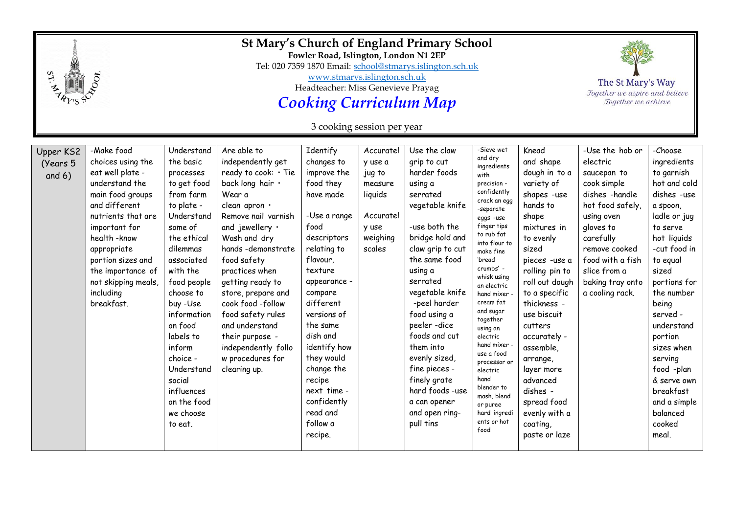|                                   |                                                                                                                                                                                                                                                                             | St Mary's Church of England Primary School<br>Fowler Road, Islington, London N1 2EP<br>Tel: 020 7359 1870 Email: school@stmarys.islington.sch.uk<br>www.stmarys.islington.sch.uk<br>Headteacher: Miss Genevieve Prayag<br><b>Cooking Curriculum Map</b><br>3 cooking session per year                                                          |                                                                                                                                                                                                                                                                                                                                                                                                                   |                                                                                                                                                                                                                                                                                                                                                    |                                                                                                  |                                                                                                                                                                                                                                                                                                                                                                                                           |                                                                                                                                                                                                                                                                                                                                                                                                                                                                     |                                                                                                                                                                                                                                                                                                                                                                                       | The St Mary's Way<br>Together we aspire and believe<br>Together we achieve                                                                                                                                                          |                                                                                                                                                                                                                                                                                                                                                               |
|-----------------------------------|-----------------------------------------------------------------------------------------------------------------------------------------------------------------------------------------------------------------------------------------------------------------------------|------------------------------------------------------------------------------------------------------------------------------------------------------------------------------------------------------------------------------------------------------------------------------------------------------------------------------------------------|-------------------------------------------------------------------------------------------------------------------------------------------------------------------------------------------------------------------------------------------------------------------------------------------------------------------------------------------------------------------------------------------------------------------|----------------------------------------------------------------------------------------------------------------------------------------------------------------------------------------------------------------------------------------------------------------------------------------------------------------------------------------------------|--------------------------------------------------------------------------------------------------|-----------------------------------------------------------------------------------------------------------------------------------------------------------------------------------------------------------------------------------------------------------------------------------------------------------------------------------------------------------------------------------------------------------|---------------------------------------------------------------------------------------------------------------------------------------------------------------------------------------------------------------------------------------------------------------------------------------------------------------------------------------------------------------------------------------------------------------------------------------------------------------------|---------------------------------------------------------------------------------------------------------------------------------------------------------------------------------------------------------------------------------------------------------------------------------------------------------------------------------------------------------------------------------------|-------------------------------------------------------------------------------------------------------------------------------------------------------------------------------------------------------------------------------------|---------------------------------------------------------------------------------------------------------------------------------------------------------------------------------------------------------------------------------------------------------------------------------------------------------------------------------------------------------------|
| Upper KS2<br>(Years 5<br>and $6)$ | -Make food<br>choices using the<br>eat well plate -<br>understand the<br>main food groups<br>and different<br>nutrients that are<br>important for<br>health-know<br>appropriate<br>portion sizes and<br>the importance of<br>not skipping meals,<br>including<br>breakfast. | Understand<br>the basic<br>processes<br>to get food<br>from farm<br>to plate -<br>Understand<br>some of<br>the ethical<br>dilemmas<br>associated<br>with the<br>food people<br>choose to<br>buy -Use<br>information<br>on food<br>labels to<br>inform<br>choice -<br>Understand<br>social<br>influences<br>on the food<br>we choose<br>to eat. | Are able to<br>independently get<br>ready to cook: • Tie<br>back long hair .<br>Wear a<br>clean apron .<br>Remove nail varnish<br>and jewellery $\cdot$<br>Wash and dry<br>hands-demonstrate<br>food safety<br>practices when<br>getting ready to<br>store, prepare and<br>cook food -follow<br>food safety rules<br>and understand<br>their purpose -<br>independently follo<br>w procedures for<br>clearing up. | Identify<br>changes to<br>improve the<br>food they<br>have made<br>-Use a range<br>food<br>descriptors<br>relating to<br>flavour,<br>texture<br>appearance -<br>compare<br>different<br>versions of<br>the same<br>dish and<br>identify how<br>they would<br>change the<br>recipe<br>next time -<br>confidently<br>read and<br>follow a<br>recipe. | Accuratel<br>y use a<br>jug to<br>measure<br>liquids<br>Accuratel<br>y use<br>weighing<br>scales | Use the claw<br>grip to cut<br>harder foods<br>using a<br>serrated<br>vegetable knife<br>-use both the<br>bridge hold and<br>claw grip to cut<br>the same food<br>using a<br>serrated<br>vegetable knife<br>-peel harder<br>food using a<br>peeler-dice<br>foods and cut<br>them into<br>evenly sized,<br>fine pieces -<br>finely grate<br>hard foods -use<br>a can opener<br>and open ring-<br>pull tins | -Sieve wet<br>and dry<br>ingredients<br>with<br>precision -<br>confidently<br>crack an egg<br>-separate<br>eggs -use<br>finger tips<br>to rub fat<br>into flour to<br>make fine<br>'bread<br>crumbs' -<br>whisk using<br>an electric<br>hand mixer.<br>cream fat<br>and sugar<br>together<br>using an<br>electric<br>hand mixer -<br>use a food<br>processor or<br>electric<br>hand<br>blender to<br>mash, blend<br>or puree<br>hard ingredi<br>ents or hot<br>food | Knead<br>and shape<br>dough in to a<br>variety of<br>shapes -use<br>hands to<br>shape<br>mixtures in<br>to evenly<br>sized<br>pieces -use a<br>rolling pin to<br>roll out dough<br>to a specific<br>thickness -<br>use biscuit<br>cutters<br>accurately -<br>assemble,<br>arrange,<br>layer more<br>advanced<br>dishes -<br>spread food<br>evenly with a<br>coating,<br>paste or laze | -Use the hob or<br>electric<br>saucepan to<br>cook simple<br>dishes -handle<br>hot food safely,<br>using oven<br>gloves to<br>carefully<br>remove cooked<br>food with a fish<br>slice from a<br>baking tray onto<br>a cooling rack. | -Choose<br>ingredients<br>to garnish<br>hot and cold<br>dishes -use<br>a spoon,<br>ladle or jug<br>to serve<br>hot liquids<br>-cut food in<br>to equal<br>sized<br>portions for<br>the number<br>being<br>served -<br>understand<br>portion<br>sizes when<br>serving<br>food -plan<br>& serve own<br>breakfast<br>and a simple<br>balanced<br>cooked<br>meal. |